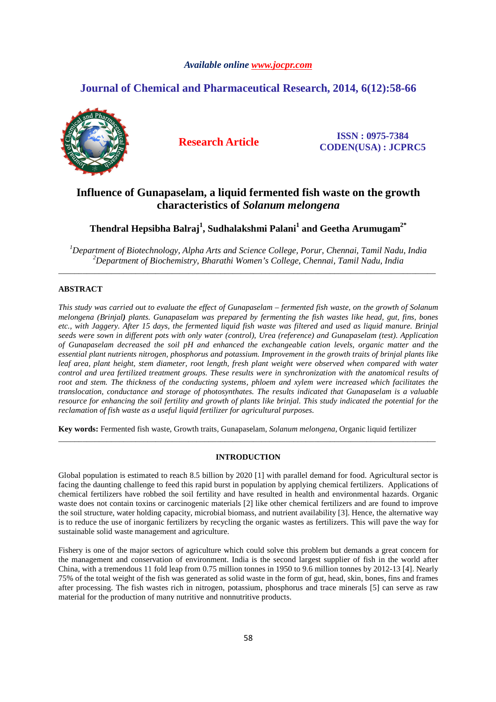# *Available online www.jocpr.com*

# **Journal of Chemical and Pharmaceutical Research, 2014, 6(12):58-66**



**Research Article ISSN : 0975-7384 CODEN(USA) : JCPRC5**

# **Influence of Gunapaselam, a liquid fermented fish waste on the growth characteristics of** *Solanum melongena*

**Thendral Hepsibha Balraj<sup>1</sup> , Sudhalakshmi Palani<sup>1</sup> and Geetha Arumugam2\*** 

*<sup>1</sup>Department of Biotechnology, Alpha Arts and Science College, Porur, Chennai, Tamil Nadu, India <sup>2</sup>Department of Biochemistry, Bharathi Women's College, Chennai, Tamil Nadu, India*  \_\_\_\_\_\_\_\_\_\_\_\_\_\_\_\_\_\_\_\_\_\_\_\_\_\_\_\_\_\_\_\_\_\_\_\_\_\_\_\_\_\_\_\_\_\_\_\_\_\_\_\_\_\_\_\_\_\_\_\_\_\_\_\_\_\_\_\_\_\_\_\_\_\_\_\_\_\_\_\_\_\_\_\_\_\_\_\_\_\_\_\_\_

# **ABSTRACT**

*This study was carried out to evaluate the effect of Gunapaselam – fermented fish waste, on the growth of Solanum melongena (Brinjal) plants. Gunapaselam was prepared by fermenting the fish wastes like head, gut, fins, bones etc., with Jaggery. After 15 days, the fermented liquid fish waste was filtered and used as liquid manure. Brinjal seeds were sown in different pots with only water (control), Urea (reference) and Gunapaselam (test). Application of Gunapaselam decreased the soil pH and enhanced the exchangeable cation levels, organic matter and the essential plant nutrients nitrogen, phosphorus and potassium. Improvement in the growth traits of brinjal plants like leaf area, plant height, stem diameter, root length, fresh plant weight were observed when compared with water control and urea fertilized treatment groups. These results were in synchronization with the anatomical results of root and stem. The thickness of the conducting systems, phloem and xylem were increased which facilitates the translocation, conductance and storage of photosynthates. The results indicated that Gunapaselam is a valuable resource for enhancing the soil fertility and growth of plants like brinjal. This study indicated the potential for the reclamation of fish waste as a useful liquid fertilizer for agricultural purposes.* 

**Key words:** Fermented fish waste, Growth traits, Gunapaselam, *Solanum melongena,* Organic liquid fertilizer

# **INTRODUCTION**

\_\_\_\_\_\_\_\_\_\_\_\_\_\_\_\_\_\_\_\_\_\_\_\_\_\_\_\_\_\_\_\_\_\_\_\_\_\_\_\_\_\_\_\_\_\_\_\_\_\_\_\_\_\_\_\_\_\_\_\_\_\_\_\_\_\_\_\_\_\_\_\_\_\_\_\_\_\_\_\_\_\_\_\_\_\_\_\_\_\_\_\_\_

Global population is estimated to reach 8.5 billion by 2020 [1] with parallel demand for food. Agricultural sector is facing the daunting challenge to feed this rapid burst in population by applying chemical fertilizers. Applications of chemical fertilizers have robbed the soil fertility and have resulted in health and environmental hazards. Organic waste does not contain toxins or carcinogenic materials [2] like other chemical fertilizers and are found to improve the soil structure, water holding capacity, microbial biomass, and nutrient availability [3]. Hence, the alternative way is to reduce the use of inorganic fertilizers by recycling the organic wastes as fertilizers. This will pave the way for sustainable solid waste management and agriculture.

Fishery is one of the major sectors of agriculture which could solve this problem but demands a great concern for the management and conservation of environment. India is the second largest supplier of fish in the world after China, with a tremendous 11 fold leap from 0.75 million tonnes in 1950 to 9.6 million tonnes by 2012-13 [4]. Nearly 75% of the total weight of the fish was generated as solid waste in the form of gut, head, skin, bones, fins and frames after processing. The fish wastes rich in nitrogen, potassium, phosphorus and trace minerals [5] can serve as raw material for the production of many nutritive and nonnutritive products.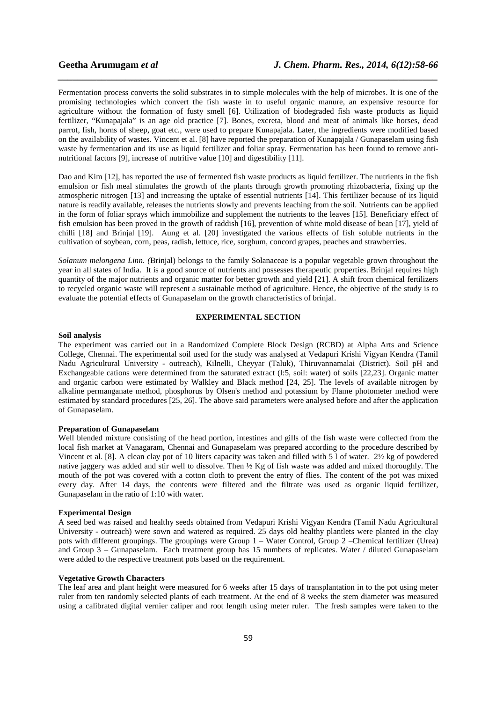Fermentation process converts the solid substrates in to simple molecules with the help of microbes. It is one of the promising technologies which convert the fish waste in to useful organic manure, an expensive resource for agriculture without the formation of fusty smell [6]. Utilization of biodegraded fish waste products as liquid fertilizer, "Kunapajala" is an age old practice [7]. Bones, excreta, blood and meat of animals like horses, dead parrot, fish, horns of sheep, goat etc., were used to prepare Kunapajala. Later, the ingredients were modified based on the availability of wastes. Vincent et al. [8] have reported the preparation of Kunapajala / Gunapaselam using fish waste by fermentation and its use as liquid fertilizer and foliar spray. Fermentation has been found to remove antinutritional factors [9], increase of nutritive value [10] and digestibility [11].

*\_\_\_\_\_\_\_\_\_\_\_\_\_\_\_\_\_\_\_\_\_\_\_\_\_\_\_\_\_\_\_\_\_\_\_\_\_\_\_\_\_\_\_\_\_\_\_\_\_\_\_\_\_\_\_\_\_\_\_\_\_\_\_\_\_\_\_\_\_\_\_\_\_\_\_\_\_\_*

Dao and Kim [12], has reported the use of fermented fish waste products as liquid fertilizer. The nutrients in the fish emulsion or fish meal stimulates the growth of the plants through growth promoting rhizobacteria, fixing up the atmospheric nitrogen [13] and increasing the uptake of essential nutrients [14]. This fertilizer because of its liquid nature is readily available, releases the nutrients slowly and prevents leaching from the soil. Nutrients can be applied in the form of foliar sprays which immobilize and supplement the nutrients to the leaves [15]. Beneficiary effect of fish emulsion has been proved in the growth of raddish [16], prevention of white mold disease of bean [17], yield of chilli [18] and Brinjal [19]. Aung et al. [20] investigated the various effects of fish soluble nutrients in the cultivation of soybean, corn, peas, radish, lettuce, rice, sorghum, concord grapes, peaches and strawberries.

*Solanum melongena Linn. (*Brinjal) belongs to the family Solanaceae is a popular vegetable grown throughout the year in all states of India. It is a good source of nutrients and possesses therapeutic properties. Brinjal requires high quantity of the major nutrients and organic matter for better growth and yield [21]. A shift from chemical fertilizers to recycled organic waste will represent a sustainable method of agriculture. Hence, the objective of the study is to evaluate the potential effects of Gunapaselam on the growth characteristics of brinjal.

# **EXPERIMENTAL SECTION**

## **Soil analysis**

The experiment was carried out in a Randomized Complete Block Design (RCBD) at Alpha Arts and Science College, Chennai. The experimental soil used for the study was analysed at Vedapuri Krishi Vigyan Kendra (Tamil Nadu Agricultural University - outreach), Kilnelli, Cheyyar (Taluk), Thiruvannamalai (District). Soil pH and Exchangeable cations were determined from the saturated extract (l:5, soil: water) of soils [22,23]. Organic matter and organic carbon were estimated by Walkley and Black method [24, 25]. The levels of available nitrogen by alkaline permanganate method, phosphorus by Olsen's method and potassium by Flame photometer method were estimated by standard procedures [25, 26]. The above said parameters were analysed before and after the application of Gunapaselam.

#### **Preparation of Gunapaselam**

Well blended mixture consisting of the head portion, intestines and gills of the fish waste were collected from the local fish market at Vanagaram, Chennai and Gunapaselam was prepared according to the procedure described by Vincent et al. [8]. A clean clay pot of 10 liters capacity was taken and filled with 5 l of water. 2½ kg of powdered native jaggery was added and stir well to dissolve. Then ½ Kg of fish waste was added and mixed thoroughly. The mouth of the pot was covered with a cotton cloth to prevent the entry of flies. The content of the pot was mixed every day. After 14 days, the contents were filtered and the filtrate was used as organic liquid fertilizer, Gunapaselam in the ratio of 1:10 with water.

#### **Experimental Design**

A seed bed was raised and healthy seeds obtained from Vedapuri Krishi Vigyan Kendra (Tamil Nadu Agricultural University - outreach) were sown and watered as required. 25 days old healthy plantlets were planted in the clay pots with different groupings. The groupings were Group 1 – Water Control, Group 2 –Chemical fertilizer (Urea) and Group 3 – Gunapaselam. Each treatment group has 15 numbers of replicates. Water / diluted Gunapaselam were added to the respective treatment pots based on the requirement.

#### **Vegetative Growth Characters**

The leaf area and plant height were measured for 6 weeks after 15 days of transplantation in to the pot using meter ruler from ten randomly selected plants of each treatment. At the end of 8 weeks the stem diameter was measured using a calibrated digital vernier caliper and root length using meter ruler. The fresh samples were taken to the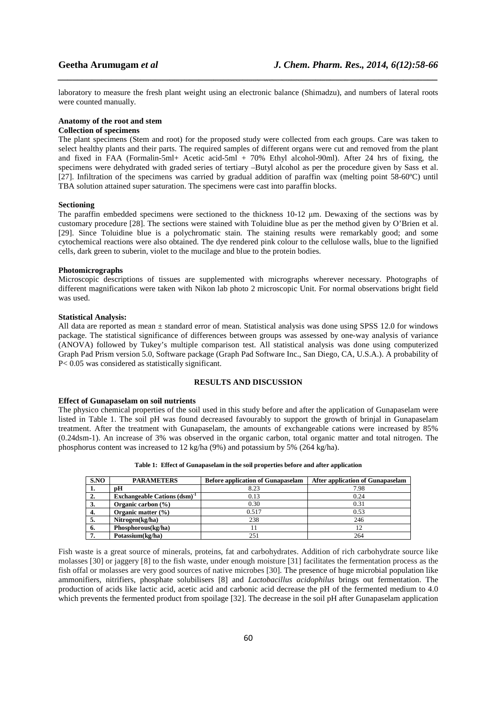laboratory to measure the fresh plant weight using an electronic balance (Shimadzu), and numbers of lateral roots were counted manually.

*\_\_\_\_\_\_\_\_\_\_\_\_\_\_\_\_\_\_\_\_\_\_\_\_\_\_\_\_\_\_\_\_\_\_\_\_\_\_\_\_\_\_\_\_\_\_\_\_\_\_\_\_\_\_\_\_\_\_\_\_\_\_\_\_\_\_\_\_\_\_\_\_\_\_\_\_\_\_*

#### **Anatomy of the root and stem**

#### **Collection of specimens**

The plant specimens (Stem and root) for the proposed study were collected from each groups. Care was taken to select healthy plants and their parts. The required samples of different organs were cut and removed from the plant and fixed in FAA (Formalin-5ml+ Acetic acid-5ml + 70% Ethyl alcohol-90ml). After 24 hrs of fixing, the specimens were dehydrated with graded series of tertiary –Butyl alcohol as per the procedure given by Sass et al. [27]. Infiltration of the specimens was carried by gradual addition of paraffin wax (melting point 58-60ºC) until TBA solution attained super saturation. The specimens were cast into paraffin blocks.

#### **Sectioning**

The paraffin embedded specimens were sectioned to the thickness 10-12  $\mu$ m. Dewaxing of the sections was by customary procedure [28]. The sections were stained with Toluidine blue as per the method given by O'Brien et al. [29]. Since Toluidine blue is a polychromatic stain. The staining results were remarkably good; and some cytochemical reactions were also obtained. The dye rendered pink colour to the cellulose walls, blue to the lignified cells, dark green to suberin, violet to the mucilage and blue to the protein bodies.

#### **Photomicrographs**

Microscopic descriptions of tissues are supplemented with micrographs wherever necessary. Photographs of different magnifications were taken with Nikon lab photo 2 microscopic Unit. For normal observations bright field was used.

#### **Statistical Analysis:**

All data are reported as mean ± standard error of mean. Statistical analysis was done using SPSS 12.0 for windows package. The statistical significance of differences between groups was assessed by one-way analysis of variance (ANOVA) followed by Tukey's multiple comparison test. All statistical analysis was done using computerized Graph Pad Prism version 5.0, Software package (Graph Pad Software Inc., San Diego, CA, U.S.A.). A probability of P< 0.05 was considered as statistically significant.

## **RESULTS AND DISCUSSION**

#### **Effect of Gunapaselam on soil nutrients**

The physico chemical properties of the soil used in this study before and after the application of Gunapaselam were listed in Table 1. The soil pH was found decreased favourably to support the growth of brinjal in Gunapaselam treatment. After the treatment with Gunapaselam, the amounts of exchangeable cations were increased by 85% (0.24dsm-1). An increase of 3% was observed in the organic carbon, total organic matter and total nitrogen. The phosphorus content was increased to 12 kg/ha (9%) and potassium by 5% (264 kg/ha).

| S.NO | <b>PARAMETERS</b>                 | <b>Before application of Gunapaselam</b> | <b>After application of Gunapaselam</b> |
|------|-----------------------------------|------------------------------------------|-----------------------------------------|
| 1.   | pН                                | 8.23                                     | 7.98                                    |
| 2.   | Exchangeable Cations $(dsm)^{-1}$ | 0.13                                     | 0.24                                    |
| 3.   | Organic carbon $(\% )$            | 0.30                                     | 0.31                                    |
| 4.   | Organic matter $(\% )$            | 0.517                                    | 0.53                                    |
| 5.   | Nitrogen(kg/ha)                   | 238                                      | 246                                     |
| 6.   | Phosphorous(kg/ha)                | Ħ                                        |                                         |
| 7    | Potassium(kg/ha)                  | 251                                      | 264                                     |

**Table 1: Effect of Gunapaselam in the soil properties before and after application** 

Fish waste is a great source of minerals, proteins, fat and carbohydrates. Addition of rich carbohydrate source like molasses [30] or jaggery [8] to the fish waste, under enough moisture [31] facilitates the fermentation process as the fish offal or molasses are very good sources of native microbes [30]. The presence of huge microbial population like ammonifiers, nitrifiers, phosphate solubilisers [8] and *Lactobacillus acidophilus* brings out fermentation. The production of acids like lactic acid, acetic acid and carbonic acid decrease the pH of the fermented medium to 4.0 which prevents the fermented product from spoilage [32]. The decrease in the soil pH after Gunapaselam application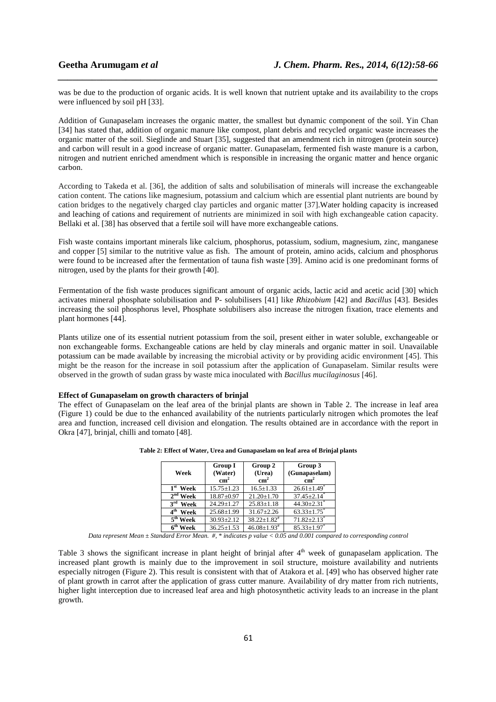was be due to the production of organic acids. It is well known that nutrient uptake and its availability to the crops were influenced by soil pH [33].

*\_\_\_\_\_\_\_\_\_\_\_\_\_\_\_\_\_\_\_\_\_\_\_\_\_\_\_\_\_\_\_\_\_\_\_\_\_\_\_\_\_\_\_\_\_\_\_\_\_\_\_\_\_\_\_\_\_\_\_\_\_\_\_\_\_\_\_\_\_\_\_\_\_\_\_\_\_\_*

Addition of Gunapaselam increases the organic matter, the smallest but dynamic component of the soil. Yin Chan [34] has stated that, addition of organic manure like compost, plant debris and recycled organic waste increases the organic matter of the soil. Sieglinde and Stuart [35], suggested that an amendment rich in nitrogen (protein source) and carbon will result in a good increase of organic matter. Gunapaselam, fermented fish waste manure is a carbon, nitrogen and nutrient enriched amendment which is responsible in increasing the organic matter and hence organic carbon.

According to Takeda et al. [36], the addition of salts and solubilisation of minerals will increase the exchangeable cation content. The cations like magnesium, potassium and calcium which are essential plant nutrients are bound by cation bridges to the negatively charged clay particles and organic matter [37].Water holding capacity is increased and leaching of cations and requirement of nutrients are minimized in soil with high exchangeable cation capacity. Bellaki et al. [38] has observed that a fertile soil will have more exchangeable cations.

Fish waste contains important minerals like calcium, phosphorus, potassium, sodium, magnesium, zinc, manganese and copper [5] similar to the nutritive value as fish. The amount of protein, amino acids, calcium and phosphorus were found to be increased after the fermentation of tauna fish waste [39]. Amino acid is one predominant forms of nitrogen, used by the plants for their growth [40].

Fermentation of the fish waste produces significant amount of organic acids, lactic acid and acetic acid [30] which activates mineral phosphate solubilisation and P- solubilisers [41] like *Rhizobium* [42] and *Bacillus* [43]. Besides increasing the soil phosphorus level, Phosphate solubilisers also increase the nitrogen fixation, trace elements and plant hormones [44].

Plants utilize one of its essential nutrient potassium from the soil, present either in water soluble, exchangeable or non exchangeable forms. Exchangeable cations are held by clay minerals and organic matter in soil. Unavailable potassium can be made available by increasing the microbial activity or by providing acidic environment [45]. This might be the reason for the increase in soil potassium after the application of Gunapaselam. Similar results were observed in the growth of sudan grass by waste mica inoculated with *Bacillus mucilaginosus* [46].

#### **Effect of Gunapaselam on growth characters of brinjal**

The effect of Gunapaselam on the leaf area of the brinjal plants are shown in Table 2. The increase in leaf area (Figure 1) could be due to the enhanced availability of the nutrients particularly nitrogen which promotes the leaf area and function, increased cell division and elongation. The results obtained are in accordance with the report in Okra [47], brinjal, chilli and tomato [48].

| Week                    | <b>Group I</b><br>(Water)<br>$\text{cm}^2$ | Group 2<br>(Urea)<br>$\text{cm}^2$ | Group 3<br>(Gunapaselam)<br>$\text{cm}^2$ |
|-------------------------|--------------------------------------------|------------------------------------|-------------------------------------------|
| $1st$ Week              | $15.75 \pm 1.23$                           | $16.5 \pm 1.33$                    | $26.61 \pm 1.49$ <sup>*</sup>             |
| $2nd$ Week              | $18.87 + 0.97$                             | $21.20 \pm 1.70$                   | $37.45 \pm 2.14$ <sup>*</sup>             |
| $3^{\text{rd}}$<br>Week | $24.29 \pm 1.27$                           | $25.83 \pm 1.18$                   | $44.30 + 2.31$ <sup>*</sup>               |
| 4 <sup>th</sup><br>Week | $25.68 \pm 1.99$                           | $31.67 \pm 2.26$                   | $63.33 \pm 1.75$                          |
| $5th$ Week              | $30.93 \pm 2.12$                           | $38.22 + 1.82$ <sup>#</sup>        | $71.82 + 2.13$ <sup>*</sup>               |
| 6 <sup>th</sup> Week    | $36.25 \pm 1.53$                           | $46.08 \pm 1.93$ <sup>#</sup>      | $85.33 \pm 1.97$                          |

**Table 2: Effect of Water, Urea and Gunapaselam on leaf area of Brinjal plants** 

*Data represent Mean ± Standard Error Mean. #, \* indicates p value < 0.05 and 0.001 compared to corresponding control* 

Table 3 shows the significant increase in plant height of brinjal after  $4<sup>th</sup>$  week of gunapaselam application. The increased plant growth is mainly due to the improvement in soil structure, moisture availability and nutrients especially nitrogen (Figure 2). This result is consistent with that of Atakora et al. [49] who has observed higher rate of plant growth in carrot after the application of grass cutter manure. Availability of dry matter from rich nutrients, higher light interception due to increased leaf area and high photosynthetic activity leads to an increase in the plant growth.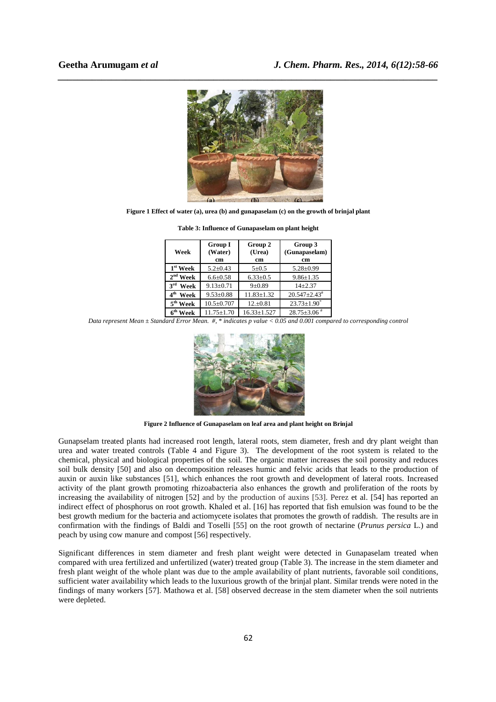

**Figure 1 Effect of water (a), urea (b) and gunapaselam (c) on the growth of brinjal plant** 

| Week                    | <b>Group I</b><br>(Water)<br>cm | Group 2<br>(Urea)<br>cm | Group 3<br>(Gunapaselam)<br>cm |
|-------------------------|---------------------------------|-------------------------|--------------------------------|
| $1st$ Week              | $5.2 + 0.43$                    | $5 + 0.5$               | $5.28 \pm 0.99$                |
| $2nd$ Week              | $6.6 \pm 0.58$                  | $6.33 \pm 0.5$          | $9.86 \pm 1.35$                |
| 3 <sup>rd</sup><br>Week | $9.13 \pm 0.71$                 | $9 + 0.89$              | $14 + 2.37$                    |
| 4 <sup>th</sup><br>Week | $9.53 \pm 0.88$                 | $11.83 \pm 1.32$        | $20.547 \pm 2.43$ <sup>#</sup> |
| 5 <sup>th</sup> Week    | $10.5 \pm 0.707$                | $12.+0.81$              | $23.73 \pm 1.90^*$             |
| 6 <sup>th</sup> Week    | $11.75 \pm 1.70$                | $16.33 \pm 1.527$       | $28.75 \pm 3.06$ <sup>#</sup>  |

**Table 3: Influence of Gunapaselam on plant height** 

*Data represent Mean ± Standard Error Mean. #, \* indicates p value < 0.05 and 0.001 compared to corresponding control* 



**Figure 2 Influence of Gunapaselam on leaf area and plant height on Brinjal** 

Gunapselam treated plants had increased root length, lateral roots, stem diameter, fresh and dry plant weight than urea and water treated controls (Table 4 and Figure 3). The development of the root system is related to the chemical, physical and biological properties of the soil. The organic matter increases the soil porosity and reduces soil bulk density [50] and also on decomposition releases humic and felvic acids that leads to the production of auxin or auxin like substances [51], which enhances the root growth and development of lateral roots. Increased activity of the plant growth promoting rhizoabacteria also enhances the growth and proliferation of the roots by increasing the availability of nitrogen [52] and by the production of auxins [53]. Perez et al. [54] has reported an indirect effect of phosphorus on root growth. Khaled et al. [16] has reported that fish emulsion was found to be the best growth medium for the bacteria and actiomycete isolates that promotes the growth of raddish. The results are in confirmation with the findings of Baldi and Toselli [55] on the root growth of nectarine (*Prunus persica* L.) and peach by using cow manure and compost [56] respectively.

Significant differences in stem diameter and fresh plant weight were detected in Gunapaselam treated when compared with urea fertilized and unfertilized (water) treated group (Table 3). The increase in the stem diameter and fresh plant weight of the whole plant was due to the ample availability of plant nutrients, favorable soil conditions, sufficient water availability which leads to the luxurious growth of the brinjal plant. Similar trends were noted in the findings of many workers [57]. Mathowa et al. [58] observed decrease in the stem diameter when the soil nutrients were depleted.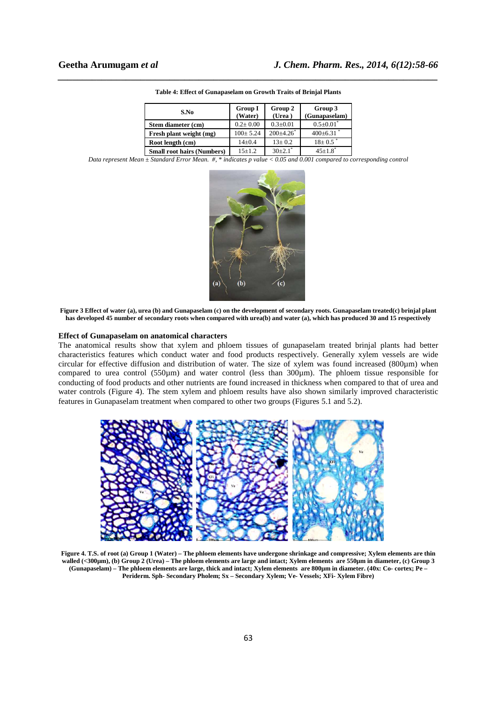| S.No                              | <b>Group I</b><br>(Water) | Group 2<br>(Urea)       | Group 3<br>(Gunapaselam) |
|-----------------------------------|---------------------------|-------------------------|--------------------------|
| Stem diameter (cm)                | $0.2 \pm 0.00$            | $0.3 \pm 0.01$          | $0.5 \pm 0.01$           |
| Fresh plant weight (mg)           | $100 \pm 5.24$            | $200+4.26$ <sup>*</sup> | $400 \pm 6.31$           |
| Root length (cm)                  | $14 \pm 0.4$              | $13+0.2$                | $18 + 0.5$               |
| <b>Small root hairs (Numbers)</b> | $15+1.2$                  | $30+2.1$ <sup>*</sup>   | $45+1.8$ <sup>*</sup>    |

| Table 4: Effect of Gunapaselam on Growth Traits of Brinjal Plants |  |
|-------------------------------------------------------------------|--|

*Data represent Mean ± Standard Error Mean. #, \* indicates p value < 0.05 and 0.001 compared to corresponding control* 



**Figure 3 Effect of water (a), urea (b) and Gunapaselam (c) on the development of secondary roots. Gunapaselam treated(c) brinjal plant has developed 45 number of secondary roots when compared with urea(b) and water (a), which has produced 30 and 15 respectively** 

#### **Effect of Gunapaselam on anatomical characters**

The anatomical results show that xylem and phloem tissues of gunapaselam treated brinjal plants had better characteristics features which conduct water and food products respectively. Generally xylem vessels are wide circular for effective diffusion and distribution of water. The size of xylem was found increased (800µm) when compared to urea control (550µm) and water control (less than 300µm). The phloem tissue responsible for conducting of food products and other nutrients are found increased in thickness when compared to that of urea and water controls (Figure 4). The stem xylem and phloem results have also shown similarly improved characteristic features in Gunapaselam treatment when compared to other two groups (Figures 5.1 and 5.2).



**Figure 4. T.S. of root (a) Group 1 (Water) – The phloem elements have undergone shrinkage and compressive; Xylem elements are thin walled (<300µm), (b) Group 2 (Urea) – The phloem elements are large and intact; Xylem elements are 550µm in diameter, (c) Group 3 (Gunapaselam) – The phloem elements are large, thick and intact; Xylem elements are 800µm in diameter. (40x: Co- cortex; Pe – Periderm. Sph- Secondary Pholem; Sx – Secondary Xylem; Ve- Vessels; XFi- Xylem Fibre)**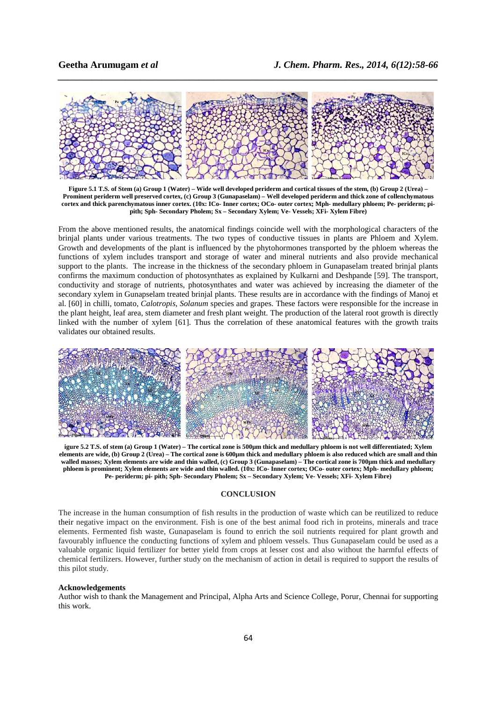

*\_\_\_\_\_\_\_\_\_\_\_\_\_\_\_\_\_\_\_\_\_\_\_\_\_\_\_\_\_\_\_\_\_\_\_\_\_\_\_\_\_\_\_\_\_\_\_\_\_\_\_\_\_\_\_\_\_\_\_\_\_\_\_\_\_\_\_\_\_\_\_\_\_\_\_\_\_\_*

**Figure 5.1 T.S. of Stem (a) Group 1 (Water) – Wide well developed periderm and cortical tissues of the stem, (b) Group 2 (Urea) – Prominent periderm well preserved cortex, (c) Group 3 (Gunapaselam) – Well developed periderm and thick zone of collenchymatous cortex and thick parenchymatous inner cortex. (10x: ICo- Inner cortex; OCo- outer cortex; Mph- medullary phloem; Pe- periderm; pipith; Sph- Secondary Pholem; Sx – Secondary Xylem; Ve- Vessels; XFi- Xylem Fibre)** 

From the above mentioned results, the anatomical findings coincide well with the morphological characters of the brinjal plants under various treatments. The two types of conductive tissues in plants are Phloem and Xylem. Growth and developments of the plant is influenced by the phytohormones transported by the phloem whereas the functions of xylem includes transport and storage of water and mineral nutrients and also provide mechanical support to the plants. The increase in the thickness of the secondary phloem in Gunapaselam treated brinjal plants confirms the maximum conduction of photosynthates as explained by Kulkarni and Deshpande [59]. The transport, conductivity and storage of nutrients, photosynthates and water was achieved by increasing the diameter of the secondary xylem in Gunapselam treated brinjal plants. These results are in accordance with the findings of Manoj et al. [60] in chilli, tomato, *Calotropis*, *Solanum* species and grapes. These factors were responsible for the increase in the plant height, leaf area, stem diameter and fresh plant weight. The production of the lateral root growth is directly linked with the number of xylem [61]. Thus the correlation of these anatomical features with the growth traits validates our obtained results.



**igure 5.2 T.S. of stem (a) Group 1 (Water) – The cortical zone is 500µm thick and medullary phloem is not well differentiated; Xylem elements are wide, (b) Group 2 (Urea) – The cortical zone is 600µm thick and medullary phloem is also reduced which are small and thin**  walled masses; Xylem elements are wide and thin walled, (c) Group 3 (Gunapaselam) – The cortical zone is 700µm thick and medullary **phloem is prominent; Xylem elements are wide and thin walled. (10x: ICo- Inner cortex; OCo- outer cortex; Mph- medullary phloem; Pe- periderm; pi- pith; Sph- Secondary Pholem; Sx – Secondary Xylem; Ve- Vessels; XFi- Xylem Fibre)** 

#### **CONCLUSION**

The increase in the human consumption of fish results in the production of waste which can be reutilized to reduce their negative impact on the environment. Fish is one of the best animal food rich in proteins, minerals and trace elements. Fermented fish waste, Gunapaselam is found to enrich the soil nutrients required for plant growth and favourably influence the conducting functions of xylem and phloem vessels. Thus Gunapaselam could be used as a valuable organic liquid fertilizer for better yield from crops at lesser cost and also without the harmful effects of chemical fertilizers. However, further study on the mechanism of action in detail is required to support the results of this pilot study.

#### **Acknowledgements**

Author wish to thank the Management and Principal, Alpha Arts and Science College, Porur, Chennai for supporting this work.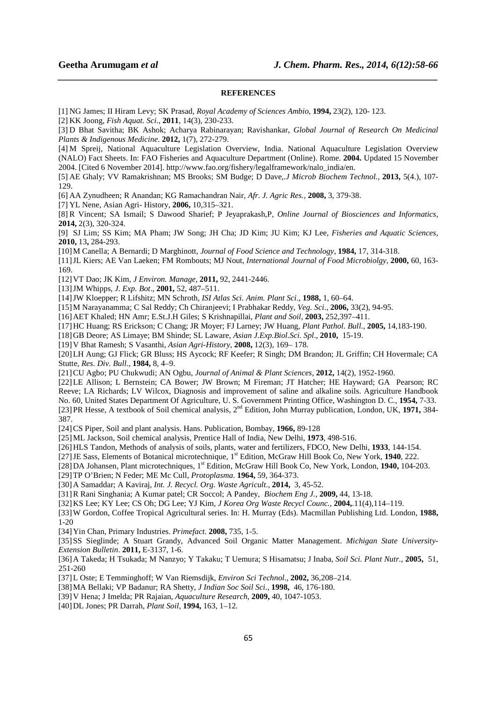#### **REFERENCES**

*\_\_\_\_\_\_\_\_\_\_\_\_\_\_\_\_\_\_\_\_\_\_\_\_\_\_\_\_\_\_\_\_\_\_\_\_\_\_\_\_\_\_\_\_\_\_\_\_\_\_\_\_\_\_\_\_\_\_\_\_\_\_\_\_\_\_\_\_\_\_\_\_\_\_\_\_\_\_*

[1] NG James; II Hiram Levy; SK Prasad, *Royal Academy of Sciences Ambio*, **1994,** 23(2), 120- 123.

[2] KK Joong, *Fish Aquat. Sci*., **2011**, 14(3), 230-233.

[3] D Bhat Savitha; BK Ashok; Acharya Rabinarayan; Ravishankar, *Global Journal of Research On Medicinal Plants & Indigenous Medicine*. **2012,** 1(7), 272-279.

[4] M Spreij, National Aquaculture Legislation Overview, India. National Aquaculture Legislation Overview (NALO) Fact Sheets. In: FAO Fisheries and Aquaculture Department (Online). Rome. **2004.** Updated 15 November 2004. [Cited 6 November 2014]. http://www.fao.org/fishery/legalframework/nalo\_india/en.

[5] AE Ghaly; VV Ramakrishnan; MS Brooks; SM Budge; D Dave,.*J Microb Biochem Technol.,* **2013,** 5(4.), 107- 129.

[6] AA Zynudheen; R Anandan; KG Ramachandran Nair, *Afr. J. Agric Res.,* **2008,** 3, 379-38.

[7] YL Nene, Asian Agri- History, **2006,** 10,315–321.

[8] R Vincent; SA Ismail; S Dawood Sharief; P Jeyaprakash,P, *Online Journal of Biosciences and Informatics,* **2014,** 2(3), 320-324.

[9] SJ Lim; SS Kim; MA Pham; JW Song; JH Cha; JD Kim; JU Kim; KJ Lee*, Fisheries and Aquatic Sciences,* **2010,** 13**,** 284-293.

[10]M Canella; A Bernardi; D Marghinott, *Journal of Food Science and Technology*, **1984,** 17, 314-318.

[11]JL Kiers; AE Van Laeken; FM Rombouts; MJ Nout, *International Journal of Food Microbiolgy,* **2000,** 60, 163- 169.

[12]VT Dao; JK Kim, *J Environ. Manage*, **2011,** 92, 2441-2446.

[13]JM Whipps, *J. Exp. Bot*., **2001,** 52, 487–511.

[14]JW Kloepper; R Lifshitz; MN Schroth, *ISI Atlas Sci. Anim. Plant Sci*., **1988,** 1, 60–64.

[15]M Narayanamma; C Sal Reddy; Ch Chiranjeevi; I Prabhakar Reddy, *Veg. Sci*., **2006,** 33(2), 94-95.

[16]AET Khaled; HN Amr; E.St.J.H Giles; S Krishnapillai, *Plant and Soil,* **2003,** 252,397–411.

[17]HC Huang; RS Erickson; C Chang; JR Moyer; FJ Larney; JW Huang, *Plant Pathol. Bull*., **2005,** 14,183-190.

[18]GB Deore; AS Limaye; BM Shinde; SL Laware, *Asian J.Exp.Biol.Sci. Spl*., **2010,** 15-19.

[19]V Bhat Ramesh; S Vasanthi, *Asian Agri-History*, **2008,** 12(3), 169– 178.

[20]LH Aung; GJ Flick; GR Bluss; HS Aycock; RF Keefer; R Singh; DM Brandon; JL Griffin; CH Hovermale; CA Stutte, *Res. Div. Bull*., **1984,** 8, 4–9.

[21]CU Agbo; PU Chukwudi; AN Ogbu, *Journal of Animal & Plant Sciences*, **2012,** 14(2), 1952-1960.

[22]LE Allison; L Bernstein; CA Bower; JW Brown; M Fireman; JT Hatcher; HE Hayward; GA Pearson; RC Reeve; LA Richards; LV Wilcox, Diagnosis and improvement of saline and alkaline soils. Agriculture Handbook No. 60, United States Department Of Agriculture, U. S. Government Printing Office, Washington D. C., **1954,** 7-33. [23]PR Hesse, A textbook of Soil chemical analysis, 2nd Edition, John Murray publication*,* London*,* UK*,* **1971,** 384- 387.

[24]CS Piper, Soil and plant analysis. Hans. Publication, Bombay, **1966,** 89-128

[25]ML Jackson, Soil chemical analysis, Prentice Hall of India, New Delhi, **1973**, 498-516.

[26]HLS Tandon, Methods of analysis of soils, plants, water and fertilizers, FDCO, New Delhi, **1933**, 144-154.

[27]JE Sass, Elements of Botanical microtechnique, 1st Edition, McGraw Hill Book Co, New York, **1940**, 222.

[28]DA Johansen, Plant microtechniques, 1<sup>st</sup> Edition, McGraw Hill Book Co, New York, London, **1940**, 104-203.

[29]TP O'Brien; N Feder; ME Mc Cull, *Protoplasma.* **1964,** 59, 364-373.

[30]A Samaddar; A Kaviraj, *Int. J. Recycl. Org. Waste Agricult*., **2014,** 3, 45-52.

[31]R Rani Singhania; A Kumar patel; CR Soccol; A Pandey, *Biochem Eng J.,* **2009,** 44, 13-18.

[32]KS Lee; KY Lee; CS Oh; DG Lee; YJ Kim, *J Korea Org Waste Recycl Counc.,* **2004,**.11(4),114–119.

[33]W Gordon, Coffee Tropical Agricultural series. In: H. Murray (Eds). Macmillan Publishing Ltd. London, **1988,**  1-20

[34]Yin Chan, Primary Industries. *Primefact*. **2008,** 735, 1-5.

[35]SS Sieglinde; A Stuart Grandy, Advanced Soil Organic Matter Management. *Michigan State University-Extension Bulletin*. **2011,** E-3137, 1-6.

[36]A Takeda; H Tsukada; M Nanzyo; Y Takaku; T Uemura; S Hisamatsu; J Inaba, *Soil Sci. Plant Nutr.*, **2005,** 51, 251-260

[37]L Oste; E Temminghoff; W Van Riemsdijk, *Environ Sci Technol*., **2002,** 36,208–214.

[38]MA Bellaki; VP Badanur; RA Shetty, *J Indian Soc Soil Sci*., **1998,** 46, 176-180.

[39]V Hena; J Imelda; PR Rajaian, *Aquaculture Research*, **2009,** 40, 1047-1053.

[40]DL Jones; PR Darrah, *Plant Soil*, **1994,** 163, 1–12.